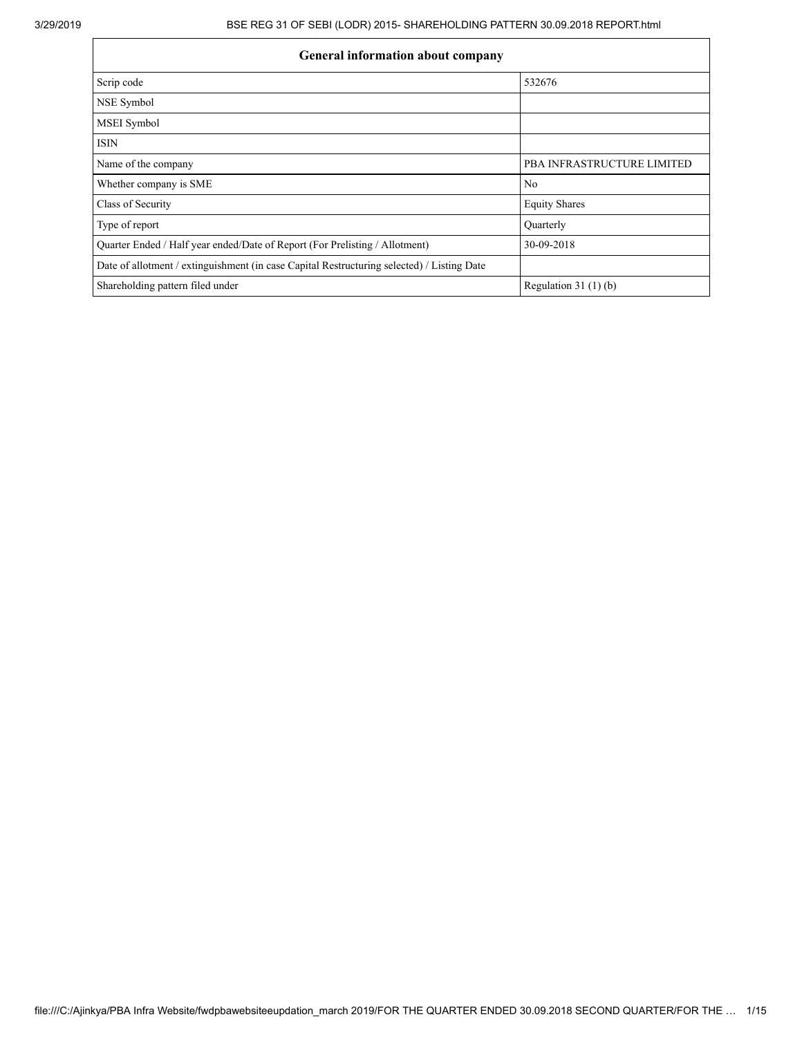| <b>General information about company</b>                                                   |                                   |  |  |  |  |  |  |  |  |
|--------------------------------------------------------------------------------------------|-----------------------------------|--|--|--|--|--|--|--|--|
| Scrip code                                                                                 | 532676                            |  |  |  |  |  |  |  |  |
| NSE Symbol                                                                                 |                                   |  |  |  |  |  |  |  |  |
| <b>MSEI</b> Symbol                                                                         |                                   |  |  |  |  |  |  |  |  |
| <b>ISIN</b>                                                                                |                                   |  |  |  |  |  |  |  |  |
| Name of the company                                                                        | <b>PBA INFRASTRUCTURE LIMITED</b> |  |  |  |  |  |  |  |  |
| Whether company is SME                                                                     | N <sub>0</sub>                    |  |  |  |  |  |  |  |  |
| Class of Security                                                                          | <b>Equity Shares</b>              |  |  |  |  |  |  |  |  |
| Type of report                                                                             | Quarterly                         |  |  |  |  |  |  |  |  |
| Quarter Ended / Half year ended/Date of Report (For Prelisting / Allotment)                | 30-09-2018                        |  |  |  |  |  |  |  |  |
| Date of allotment / extinguishment (in case Capital Restructuring selected) / Listing Date |                                   |  |  |  |  |  |  |  |  |
| Shareholding pattern filed under                                                           | Regulation $31(1)(b)$             |  |  |  |  |  |  |  |  |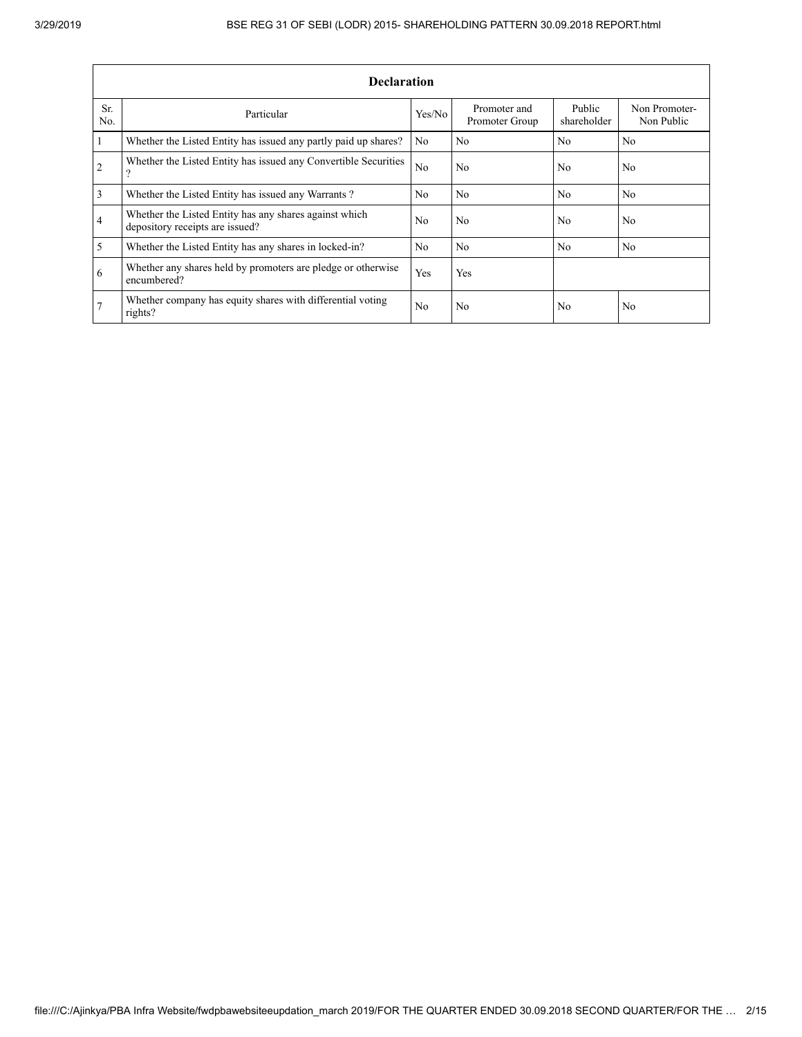|                | <b>Declaration</b>                                                                        |                |                                |                       |                             |  |  |  |  |  |  |  |
|----------------|-------------------------------------------------------------------------------------------|----------------|--------------------------------|-----------------------|-----------------------------|--|--|--|--|--|--|--|
| Sr.<br>No.     | Particular                                                                                | Yes/No         | Promoter and<br>Promoter Group | Public<br>shareholder | Non Promoter-<br>Non Public |  |  |  |  |  |  |  |
| 1              | Whether the Listed Entity has issued any partly paid up shares?                           | No.            | N <sub>0</sub>                 | N <sub>0</sub>        | N <sub>0</sub>              |  |  |  |  |  |  |  |
| $\overline{2}$ | Whether the Listed Entity has issued any Convertible Securities<br>$\Omega$               | N <sub>0</sub> | N <sub>0</sub>                 | No                    | N <sub>0</sub>              |  |  |  |  |  |  |  |
| $\overline{3}$ | Whether the Listed Entity has issued any Warrants?                                        | N <sub>0</sub> | N <sub>0</sub>                 | No                    | N <sub>0</sub>              |  |  |  |  |  |  |  |
| $\overline{4}$ | Whether the Listed Entity has any shares against which<br>depository receipts are issued? | N <sub>0</sub> | N <sub>0</sub>                 | No                    | N <sub>0</sub>              |  |  |  |  |  |  |  |
| 5              | Whether the Listed Entity has any shares in locked-in?                                    | N <sub>0</sub> | N <sub>0</sub>                 | N <sub>0</sub>        | N <sub>0</sub>              |  |  |  |  |  |  |  |
| 6              | Whether any shares held by promoters are pledge or otherwise<br>encumbered?               | Yes            | Yes                            |                       |                             |  |  |  |  |  |  |  |
|                | Whether company has equity shares with differential voting<br>rights?                     | N <sub>0</sub> | N <sub>0</sub>                 | No                    | N <sub>0</sub>              |  |  |  |  |  |  |  |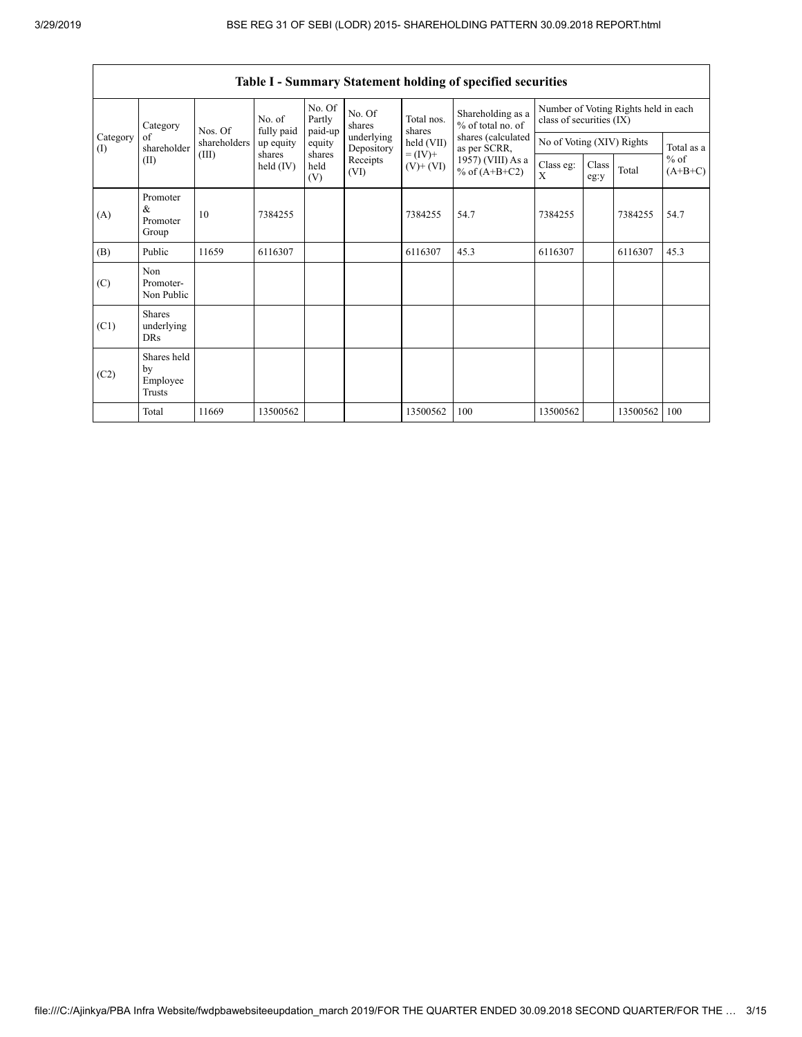|                         | Category<br>of<br>shareholder             | Nos. Of               | No. of<br>fully paid  | No. Of<br>Partly<br>paid-up | No. Of<br>shares         | Total nos.<br>shares         | Shareholding as a<br>% of total no. of | Number of Voting Rights held in each<br>class of securities (IX) |               |          |                     |
|-------------------------|-------------------------------------------|-----------------------|-----------------------|-----------------------------|--------------------------|------------------------------|----------------------------------------|------------------------------------------------------------------|---------------|----------|---------------------|
| Category<br>(I)<br>(II) |                                           | shareholders<br>(III) | up equity             | equity                      | underlying<br>Depository | held (VII)                   | shares (calculated<br>as per SCRR,     | No of Voting (XIV) Rights                                        |               |          | Total as a          |
|                         |                                           |                       | shares<br>held $(IV)$ | shares<br>held<br>(V)       | Receipts<br>(VI)         | $= (IV) +$<br>$(V)$ + $(VI)$ | 1957) (VIII) As a<br>% of $(A+B+C2)$   | Class eg:<br>X                                                   | Class<br>eg:y | Total    | $%$ of<br>$(A+B+C)$ |
| (A)                     | Promoter<br>&<br>Promoter<br>Group        | 10                    | 7384255               |                             |                          | 7384255                      | 54.7                                   | 7384255                                                          |               | 7384255  | 54.7                |
| (B)                     | Public                                    | 11659                 | 6116307               |                             |                          | 6116307                      | 45.3                                   | 6116307                                                          |               | 6116307  | 45.3                |
| (C)                     | Non<br>Promoter-<br>Non Public            |                       |                       |                             |                          |                              |                                        |                                                                  |               |          |                     |
| (C1)                    | <b>Shares</b><br>underlying<br><b>DRs</b> |                       |                       |                             |                          |                              |                                        |                                                                  |               |          |                     |
| (C2)                    | Shares held<br>by<br>Employee<br>Trusts   |                       |                       |                             |                          |                              |                                        |                                                                  |               |          |                     |
|                         | Total                                     | 11669                 | 13500562              |                             |                          | 13500562                     | 100                                    | 13500562                                                         |               | 13500562 | 100                 |

Table I - Summary Statement holding of specified securities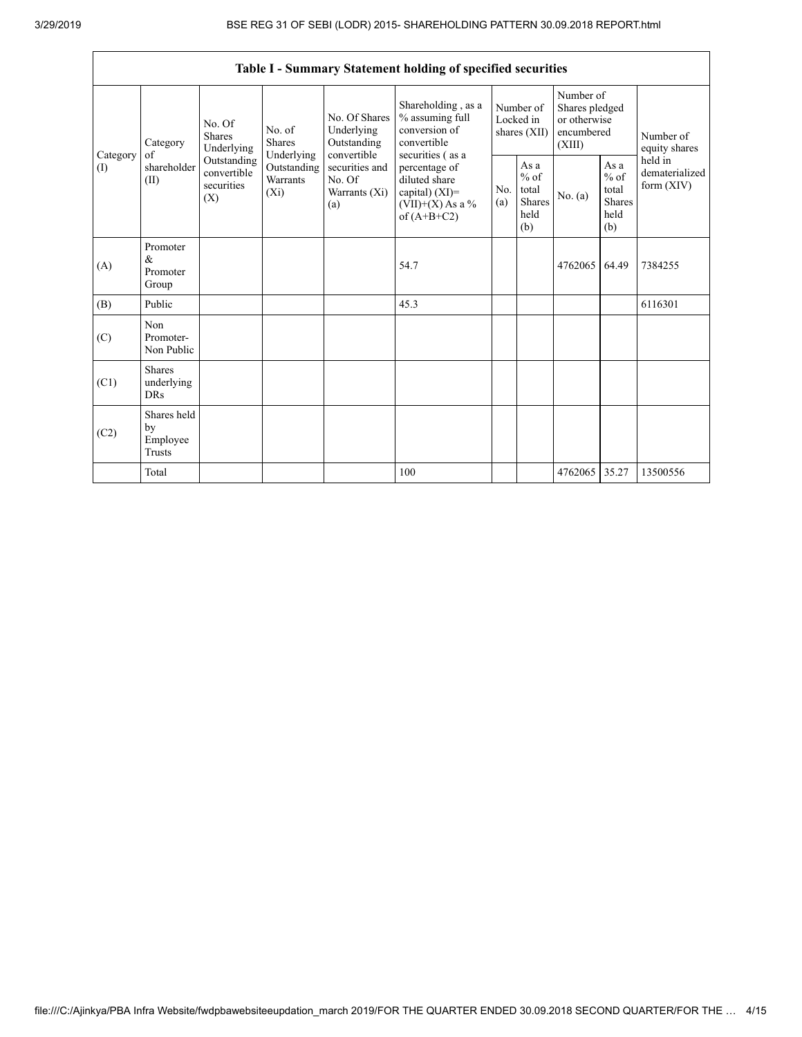٦

|                 |                                                |                                                                                          |                                                  |                                                                 | Table I - Summary Statement holding of specified securities                                                    |                                          |                                                         |                                                                     |                                                         |                                           |
|-----------------|------------------------------------------------|------------------------------------------------------------------------------------------|--------------------------------------------------|-----------------------------------------------------------------|----------------------------------------------------------------------------------------------------------------|------------------------------------------|---------------------------------------------------------|---------------------------------------------------------------------|---------------------------------------------------------|-------------------------------------------|
| Category<br>(1) | Category<br>of<br>shareholder<br>(II)          | No. Of<br><b>Shares</b><br>Underlying<br>Outstanding<br>convertible<br>securities<br>(X) | No. of<br><b>Shares</b>                          | No. Of Shares<br>Underlying<br>Outstanding                      | Shareholding, as a<br>% assuming full<br>conversion of<br>convertible                                          | Number of<br>Locked in<br>shares $(XII)$ |                                                         | Number of<br>Shares pledged<br>or otherwise<br>encumbered<br>(XIII) |                                                         | Number of<br>equity shares                |
|                 |                                                |                                                                                          | Underlying<br>Outstanding<br>Warrants<br>$(X_i)$ | convertible<br>securities and<br>No. Of<br>Warrants (Xi)<br>(a) | securities (as a<br>percentage of<br>diluted share<br>capital) $(XI)$ =<br>$(VII)+(X)$ As a %<br>of $(A+B+C2)$ | N <sub>0</sub><br>(a)                    | As a<br>$%$ of<br>total<br><b>Shares</b><br>held<br>(b) | No. $(a)$                                                           | As a<br>$%$ of<br>total<br><b>Shares</b><br>held<br>(b) | held in<br>dematerialized<br>form $(XIV)$ |
| (A)             | Promoter<br>&<br>Promoter<br>Group             |                                                                                          |                                                  |                                                                 | 54.7                                                                                                           |                                          |                                                         | 4762065                                                             | 64.49                                                   | 7384255                                   |
| (B)             | Public                                         |                                                                                          |                                                  |                                                                 | 45.3                                                                                                           |                                          |                                                         |                                                                     |                                                         | 6116301                                   |
| (C)             | Non<br>Promoter-<br>Non Public                 |                                                                                          |                                                  |                                                                 |                                                                                                                |                                          |                                                         |                                                                     |                                                         |                                           |
| (C1)            | <b>Shares</b><br>underlying<br><b>DRs</b>      |                                                                                          |                                                  |                                                                 |                                                                                                                |                                          |                                                         |                                                                     |                                                         |                                           |
| (C2)            | Shares held<br>by<br>Employee<br><b>Trusts</b> |                                                                                          |                                                  |                                                                 |                                                                                                                |                                          |                                                         |                                                                     |                                                         |                                           |
|                 | Total                                          |                                                                                          |                                                  |                                                                 | 100                                                                                                            |                                          |                                                         | 4762065                                                             | 35.27                                                   | 13500556                                  |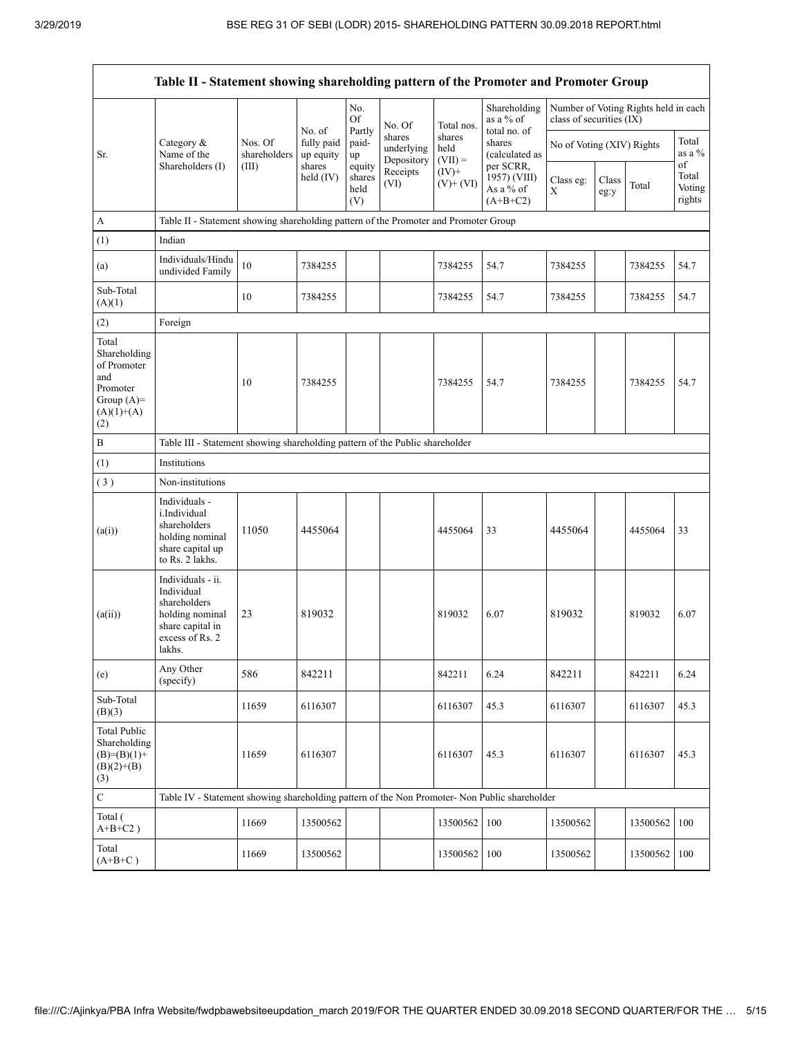|                                                                                                | Table II - Statement showing shareholding pattern of the Promoter and Promoter Group                                |                         |                                   |                                 |                                    |                             |                                           |                           |               |                                      |                           |
|------------------------------------------------------------------------------------------------|---------------------------------------------------------------------------------------------------------------------|-------------------------|-----------------------------------|---------------------------------|------------------------------------|-----------------------------|-------------------------------------------|---------------------------|---------------|--------------------------------------|---------------------------|
|                                                                                                |                                                                                                                     |                         |                                   | No.<br><b>Of</b>                | No. Of                             | Total nos.                  | Shareholding<br>as a % of<br>total no. of | class of securities (IX)  |               | Number of Voting Rights held in each |                           |
| Sr.                                                                                            | Category &<br>Name of the                                                                                           | Nos. Of<br>shareholders | No. of<br>fully paid<br>up equity | Partly<br>paid-<br>up           | shares<br>underlying<br>Depository | shares<br>held<br>$(VII) =$ | shares<br>(calculated as<br>per SCRR,     | No of Voting (XIV) Rights |               | Total<br>as a %<br>of                |                           |
|                                                                                                | Shareholders (I)                                                                                                    | (III)                   | shares<br>held $(IV)$             | equity<br>shares<br>held<br>(V) | Receipts<br>(VI)                   | $(IV)$ +<br>$(V)+(VI)$      | 1957) (VIII)<br>As a % of<br>$(A+B+C2)$   | Class eg:<br>X            | Class<br>eg:y | Total                                | Total<br>Voting<br>rights |
| $\boldsymbol{\rm{A}}$                                                                          | Table II - Statement showing shareholding pattern of the Promoter and Promoter Group                                |                         |                                   |                                 |                                    |                             |                                           |                           |               |                                      |                           |
| (1)                                                                                            | Indian                                                                                                              |                         |                                   |                                 |                                    |                             |                                           |                           |               |                                      |                           |
| (a)                                                                                            | Individuals/Hindu<br>undivided Family                                                                               | 10                      | 7384255                           |                                 |                                    | 7384255                     | 54.7                                      | 7384255                   |               | 7384255                              | 54.7                      |
| Sub-Total<br>(A)(1)                                                                            |                                                                                                                     | 10                      | 7384255                           |                                 |                                    | 7384255                     | 54.7                                      | 7384255                   |               | 7384255                              | 54.7                      |
| (2)                                                                                            | Foreign                                                                                                             |                         |                                   |                                 |                                    |                             |                                           |                           |               |                                      |                           |
| Total<br>Shareholding<br>of Promoter<br>and<br>Promoter<br>Group $(A)=$<br>$(A)(1)+(A)$<br>(2) |                                                                                                                     | 10                      | 7384255                           |                                 |                                    | 7384255                     | 54.7                                      | 7384255                   |               | 7384255                              | 54.7                      |
| $\, {\bf B}$                                                                                   | Table III - Statement showing shareholding pattern of the Public shareholder                                        |                         |                                   |                                 |                                    |                             |                                           |                           |               |                                      |                           |
| (1)                                                                                            | Institutions                                                                                                        |                         |                                   |                                 |                                    |                             |                                           |                           |               |                                      |                           |
| (3)                                                                                            | Non-institutions                                                                                                    |                         |                                   |                                 |                                    |                             |                                           |                           |               |                                      |                           |
| (a(i))                                                                                         | Individuals -<br>i.Individual<br>shareholders<br>holding nominal<br>share capital up<br>to Rs. 2 lakhs.             | 11050                   | 4455064                           |                                 |                                    | 4455064                     | 33                                        | 4455064                   |               | 4455064                              | 33                        |
| (a(ii))                                                                                        | Individuals - ii.<br>Individual<br>shareholders<br>holding nominal<br>share capital in<br>excess of Rs. 2<br>lakhs. | 23                      | 819032                            |                                 |                                    | 819032                      | 6.07                                      | 819032                    |               | 819032                               | 6.07                      |
| (e)                                                                                            | Any Other<br>(specify)                                                                                              | 586                     | 842211                            |                                 |                                    | 842211                      | 6.24                                      | 842211                    |               | 842211                               | 6.24                      |
| Sub-Total<br>(B)(3)                                                                            |                                                                                                                     | 11659                   | 6116307                           |                                 |                                    | 6116307                     | 45.3                                      | 6116307                   |               | 6116307                              | 45.3                      |
| <b>Total Public</b><br>Shareholding<br>$(B)= (B)(1) +$<br>$(B)(2)+(B)$<br>(3)                  |                                                                                                                     | 11659                   | 6116307                           |                                 |                                    | 6116307                     | 45.3                                      | 6116307                   |               | 6116307                              | 45.3                      |
| $\mathbf C$                                                                                    | Table IV - Statement showing shareholding pattern of the Non Promoter- Non Public shareholder                       |                         |                                   |                                 |                                    |                             |                                           |                           |               |                                      |                           |
| Total (<br>$A+B+C2$ )                                                                          |                                                                                                                     | 11669                   | 13500562                          |                                 |                                    | 13500562                    | 100                                       | 13500562                  |               | 13500562                             | 100                       |
| Total<br>$(A+B+C)$                                                                             |                                                                                                                     | 11669                   | 13500562                          |                                 |                                    | 13500562                    | 100                                       | 13500562                  |               | 13500562                             | 100                       |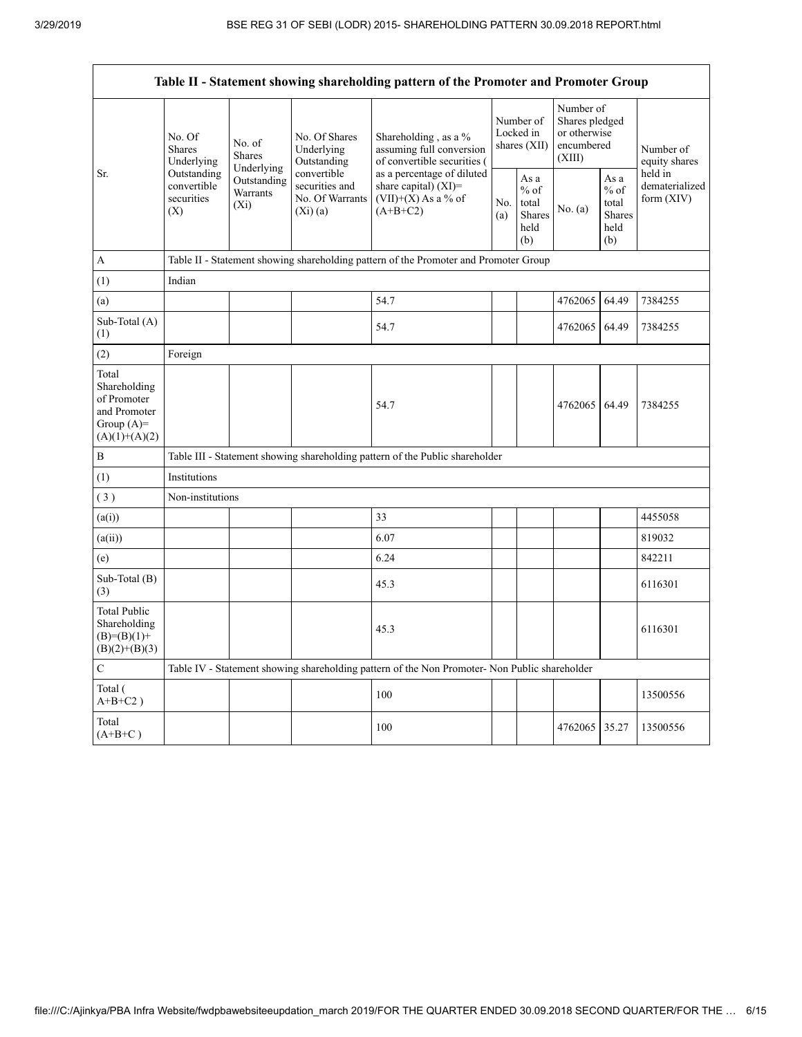| Table II - Statement showing shareholding pattern of the Promoter and Promoter Group    |                                                                                               |                                                  |                                                                |                                                                                              |                                        |                                                  |                                                                     |                                                         |                                           |  |  |
|-----------------------------------------------------------------------------------------|-----------------------------------------------------------------------------------------------|--------------------------------------------------|----------------------------------------------------------------|----------------------------------------------------------------------------------------------|----------------------------------------|--------------------------------------------------|---------------------------------------------------------------------|---------------------------------------------------------|-------------------------------------------|--|--|
|                                                                                         | No. Of<br>Shares<br>Underlying                                                                | No. of<br><b>Shares</b>                          | No. Of Shares<br>Underlying<br>Outstanding                     | Shareholding, as a %<br>assuming full conversion<br>of convertible securities (              | Number of<br>Locked in<br>shares (XII) |                                                  | Number of<br>Shares pledged<br>or otherwise<br>encumbered<br>(XIII) |                                                         | Number of<br>equity shares                |  |  |
| Sr.                                                                                     | Outstanding<br>convertible<br>securities<br>(X)                                               | Underlying<br>Outstanding<br>Warrants<br>$(X_i)$ | convertible<br>securities and<br>No. Of Warrants<br>$(Xi)$ (a) | as a percentage of diluted<br>share capital) $(XI)$ =<br>$(VII)+(X)$ As a % of<br>$(A+B+C2)$ |                                        | As a<br>$%$ of<br>total<br>Shares<br>held<br>(b) | No. $(a)$                                                           | As a<br>$%$ of<br>total<br><b>Shares</b><br>held<br>(b) | held in<br>dematerialized<br>form $(XIV)$ |  |  |
| $\mathbf{A}$                                                                            |                                                                                               |                                                  |                                                                | Table II - Statement showing shareholding pattern of the Promoter and Promoter Group         |                                        |                                                  |                                                                     |                                                         |                                           |  |  |
| (1)                                                                                     | Indian                                                                                        |                                                  |                                                                |                                                                                              |                                        |                                                  |                                                                     |                                                         |                                           |  |  |
| (a)                                                                                     |                                                                                               |                                                  |                                                                | 54.7                                                                                         |                                        |                                                  | 4762065                                                             | 64.49                                                   | 7384255                                   |  |  |
| Sub-Total (A)<br>(1)                                                                    |                                                                                               |                                                  |                                                                | 54.7                                                                                         |                                        |                                                  | 4762065                                                             | 64.49                                                   | 7384255                                   |  |  |
| (2)                                                                                     | Foreign                                                                                       |                                                  |                                                                |                                                                                              |                                        |                                                  |                                                                     |                                                         |                                           |  |  |
| Total<br>Shareholding<br>of Promoter<br>and Promoter<br>Group $(A)=$<br>$(A)(1)+(A)(2)$ |                                                                                               |                                                  |                                                                | 54.7                                                                                         |                                        |                                                  | 4762065 64.49                                                       |                                                         | 7384255                                   |  |  |
| $\bf{B}$                                                                                |                                                                                               |                                                  |                                                                | Table III - Statement showing shareholding pattern of the Public shareholder                 |                                        |                                                  |                                                                     |                                                         |                                           |  |  |
| (1)                                                                                     | Institutions                                                                                  |                                                  |                                                                |                                                                                              |                                        |                                                  |                                                                     |                                                         |                                           |  |  |
| (3)                                                                                     | Non-institutions                                                                              |                                                  |                                                                |                                                                                              |                                        |                                                  |                                                                     |                                                         |                                           |  |  |
| (a(i))                                                                                  |                                                                                               |                                                  |                                                                | 33                                                                                           |                                        |                                                  |                                                                     |                                                         | 4455058                                   |  |  |
| (a(ii))                                                                                 |                                                                                               |                                                  |                                                                | 6.07                                                                                         |                                        |                                                  |                                                                     |                                                         | 819032                                    |  |  |
| (e)                                                                                     |                                                                                               |                                                  |                                                                | 6.24                                                                                         |                                        |                                                  |                                                                     |                                                         | 842211                                    |  |  |
| Sub-Total (B)<br>(3)                                                                    |                                                                                               |                                                  |                                                                | 45.3                                                                                         |                                        |                                                  |                                                                     |                                                         | 6116301                                   |  |  |
| <b>Total Public</b><br>Shareholding<br>$(B)= (B)(1) +$<br>$(B)(2)+(B)(3)$               |                                                                                               |                                                  |                                                                | 45.3                                                                                         |                                        |                                                  |                                                                     |                                                         | 6116301                                   |  |  |
| $\mathcal{C}$                                                                           | Table IV - Statement showing shareholding pattern of the Non Promoter- Non Public shareholder |                                                  |                                                                |                                                                                              |                                        |                                                  |                                                                     |                                                         |                                           |  |  |
| Total (<br>$A+B+C2$ )                                                                   |                                                                                               |                                                  |                                                                | 100                                                                                          |                                        |                                                  |                                                                     |                                                         | 13500556                                  |  |  |
| Total<br>$(A+B+C)$                                                                      |                                                                                               |                                                  |                                                                | 100                                                                                          |                                        |                                                  | 4762065 35.27                                                       |                                                         | 13500556                                  |  |  |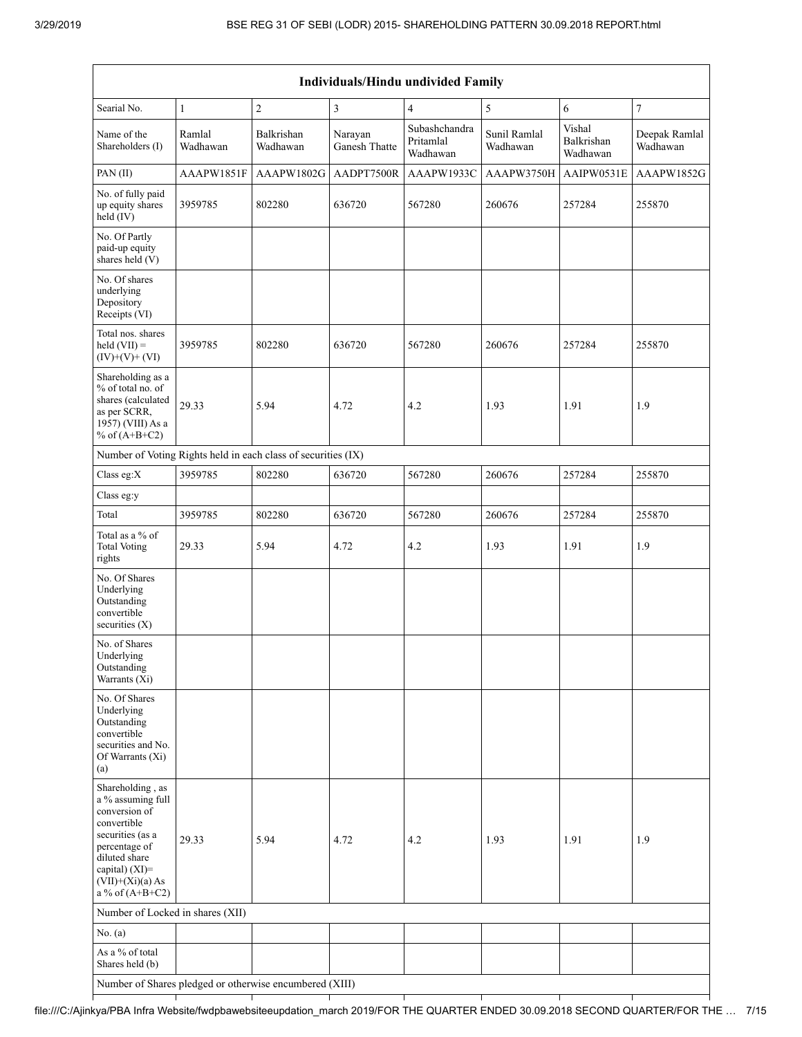$\Gamma$ 

| Individuals/Hindu undivided Family                                                                                                                                                       |                    |                                                         |                          |                                        |                          |                                  |                           |  |  |  |  |
|------------------------------------------------------------------------------------------------------------------------------------------------------------------------------------------|--------------------|---------------------------------------------------------|--------------------------|----------------------------------------|--------------------------|----------------------------------|---------------------------|--|--|--|--|
| Searial No.                                                                                                                                                                              | $\mathbf{1}$       | $\sqrt{2}$                                              | $\mathfrak{Z}$           | $\overline{4}$                         | 5                        | 6                                | $\overline{7}$            |  |  |  |  |
| Name of the<br>Shareholders (I)                                                                                                                                                          | Ramlal<br>Wadhawan | Balkrishan<br>Wadhawan                                  | Narayan<br>Ganesh Thatte | Subashchandra<br>Pritamlal<br>Wadhawan | Sunil Ramlal<br>Wadhawan | Vishal<br>Balkrishan<br>Wadhawan | Deepak Ramlal<br>Wadhawan |  |  |  |  |
| PAN (II)                                                                                                                                                                                 | AAAPW1851F         | AAAPW1802G                                              | AADPT7500R               | AAAPW1933C                             | AAAPW3750H               | AAIPW0531E                       | AAAPW1852G                |  |  |  |  |
| No. of fully paid<br>up equity shares<br>held (IV)                                                                                                                                       | 3959785            | 802280                                                  | 636720                   | 567280                                 | 260676                   | 257284                           | 255870                    |  |  |  |  |
| No. Of Partly<br>paid-up equity<br>shares held (V)                                                                                                                                       |                    |                                                         |                          |                                        |                          |                                  |                           |  |  |  |  |
| No. Of shares<br>underlying<br>Depository<br>Receipts (VI)                                                                                                                               |                    |                                                         |                          |                                        |                          |                                  |                           |  |  |  |  |
| Total nos. shares<br>held $(VII) =$<br>$(IV)+(V)+(VI)$                                                                                                                                   | 3959785            | 802280                                                  | 636720                   | 567280                                 | 260676                   | 257284                           | 255870                    |  |  |  |  |
| Shareholding as a<br>% of total no. of<br>shares (calculated<br>as per SCRR,<br>1957) (VIII) As a<br>% of $(A+B+C2)$                                                                     | 29.33              | 5.94                                                    | 4.72                     | 4.2                                    | 1.93                     | 1.91                             | 1.9                       |  |  |  |  |
| Number of Voting Rights held in each class of securities (IX)                                                                                                                            |                    |                                                         |                          |                                        |                          |                                  |                           |  |  |  |  |
| Class eg:X                                                                                                                                                                               | 3959785            | 802280                                                  | 636720                   | 567280                                 | 260676                   | 257284                           | 255870                    |  |  |  |  |
| Class eg:y                                                                                                                                                                               |                    |                                                         |                          |                                        |                          |                                  |                           |  |  |  |  |
| Total                                                                                                                                                                                    | 3959785            | 802280                                                  | 636720                   | 567280                                 | 260676                   | 257284                           | 255870                    |  |  |  |  |
| Total as a % of<br><b>Total Voting</b><br>rights                                                                                                                                         | 29.33              | 5.94                                                    | 4.72                     | 4.2                                    | 1.93                     | 1.91                             | 1.9                       |  |  |  |  |
| No. Of Shares<br>Underlying<br>Outstanding<br>convertible<br>securities $(X)$                                                                                                            |                    |                                                         |                          |                                        |                          |                                  |                           |  |  |  |  |
| No. of Shares<br>Underlying<br>Outstanding<br>Warrants (Xi)                                                                                                                              |                    |                                                         |                          |                                        |                          |                                  |                           |  |  |  |  |
| No. Of Shares<br>Underlying<br>Outstanding<br>convertible<br>securities and No.<br>Of Warrants (Xi)<br>(a)                                                                               |                    |                                                         |                          |                                        |                          |                                  |                           |  |  |  |  |
| Shareholding, as<br>a % assuming full<br>conversion of<br>convertible<br>securities (as a<br>percentage of<br>diluted share<br>capital) (XI)=<br>$(VII)+(Xi)(a) As$<br>a % of $(A+B+C2)$ | 29.33              | 5.94                                                    | 4.72                     | 4.2                                    | 1.93                     | 1.91                             | 1.9                       |  |  |  |  |
| Number of Locked in shares (XII)                                                                                                                                                         |                    |                                                         |                          |                                        |                          |                                  |                           |  |  |  |  |
| No. $(a)$                                                                                                                                                                                |                    |                                                         |                          |                                        |                          |                                  |                           |  |  |  |  |
| As a % of total<br>Shares held (b)                                                                                                                                                       |                    |                                                         |                          |                                        |                          |                                  |                           |  |  |  |  |
|                                                                                                                                                                                          |                    | Number of Shares pledged or otherwise encumbered (XIII) |                          |                                        |                          |                                  |                           |  |  |  |  |

#### $\top$ file:///C:/Ajinkya/PBA Infra Website/fwdpbawebsiteeupdation\_march 2019/FOR THE QUARTER ENDED 30.09.2018 SECOND QUARTER/FOR THE … 7/15

T

T

┯

 $\top$ 

 $\overline{\phantom{a}}$ 

┯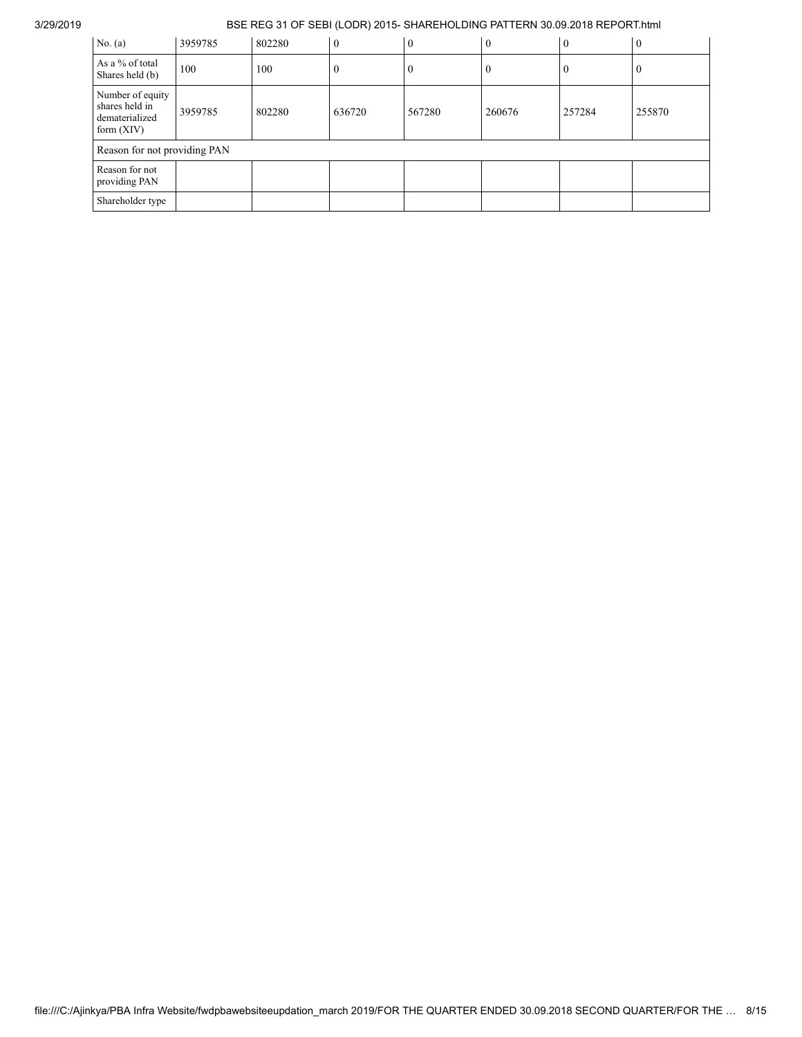| No. $(a)$                                                            | 3959785 | 802280 | $\theta$ | $\theta$ | $\overline{0}$ | $\mathbf{0}$ | $\mathbf{0}$ |
|----------------------------------------------------------------------|---------|--------|----------|----------|----------------|--------------|--------------|
| As a % of total<br>Shares held (b)                                   | 100     | 100    | U        | U        | $\theta$       | O            | 0            |
| Number of equity<br>shares held in<br>dematerialized<br>form $(XIV)$ | 3959785 | 802280 | 636720   | 567280   | 260676         | 257284       | 255870       |
| Reason for not providing PAN                                         |         |        |          |          |                |              |              |
| Reason for not<br>providing PAN                                      |         |        |          |          |                |              |              |
| Shareholder type                                                     |         |        |          |          |                |              |              |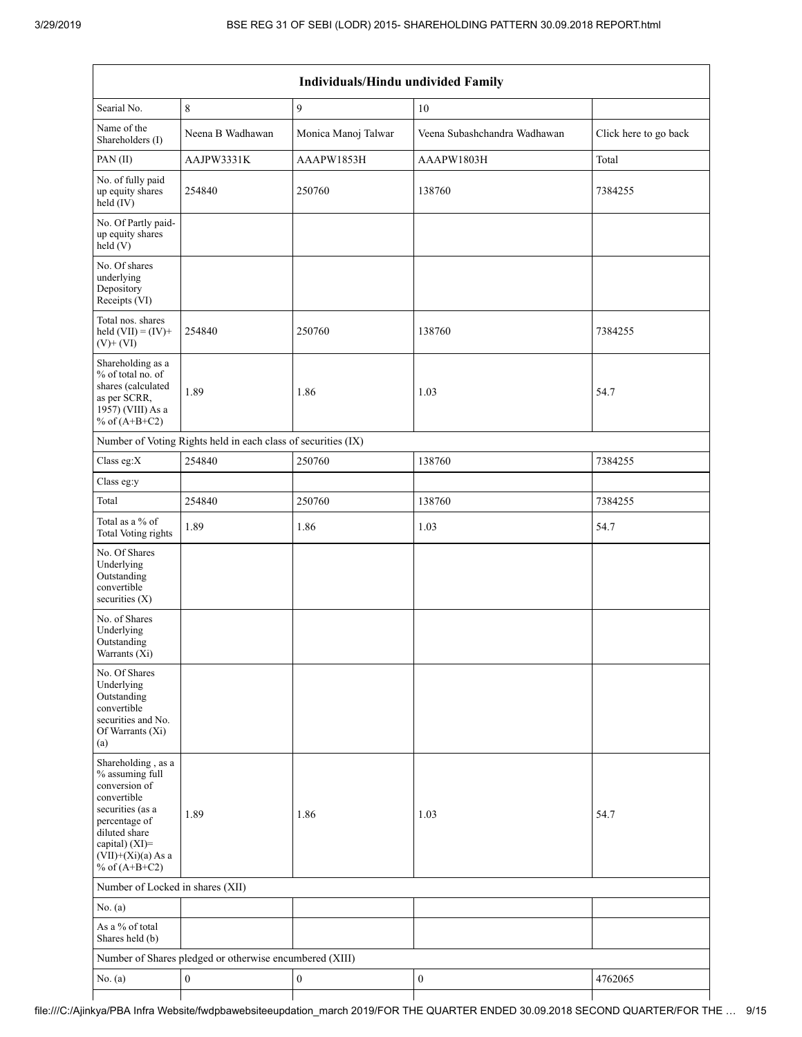| Individuals/Hindu undivided Family                                                                                                                                                       |                                                               |                     |                              |                       |  |  |  |  |  |  |
|------------------------------------------------------------------------------------------------------------------------------------------------------------------------------------------|---------------------------------------------------------------|---------------------|------------------------------|-----------------------|--|--|--|--|--|--|
| Searial No.                                                                                                                                                                              | $\,$ $\,$                                                     | 9                   | $10\,$                       |                       |  |  |  |  |  |  |
| Name of the<br>Shareholders (I)                                                                                                                                                          | Neena B Wadhawan                                              | Monica Manoj Talwar | Veena Subashchandra Wadhawan | Click here to go back |  |  |  |  |  |  |
| PAN(II)                                                                                                                                                                                  | AAJPW3331K                                                    | AAAPW1853H          | AAAPW1803H                   | Total                 |  |  |  |  |  |  |
| No. of fully paid<br>up equity shares<br>$held$ (IV)                                                                                                                                     | 254840                                                        | 250760              | 138760                       | 7384255               |  |  |  |  |  |  |
| No. Of Partly paid-<br>up equity shares<br>held(V)                                                                                                                                       |                                                               |                     |                              |                       |  |  |  |  |  |  |
| No. Of shares<br>underlying<br>Depository<br>Receipts (VI)                                                                                                                               |                                                               |                     |                              |                       |  |  |  |  |  |  |
| Total nos. shares<br>held $(VII) = (IV) +$<br>$(V)$ + $(VI)$                                                                                                                             | 254840                                                        | 250760              | 138760                       | 7384255               |  |  |  |  |  |  |
| Shareholding as a<br>% of total no. of<br>shares (calculated<br>as per SCRR,<br>1957) (VIII) As a<br>% of $(A+B+C2)$                                                                     | 1.89                                                          | 1.86                | 1.03                         | 54.7                  |  |  |  |  |  |  |
|                                                                                                                                                                                          | Number of Voting Rights held in each class of securities (IX) |                     |                              |                       |  |  |  |  |  |  |
| Class eg: $X$                                                                                                                                                                            | 254840                                                        | 250760              | 138760                       | 7384255               |  |  |  |  |  |  |
| Class eg:y                                                                                                                                                                               |                                                               |                     |                              |                       |  |  |  |  |  |  |
| Total                                                                                                                                                                                    | 254840                                                        | 250760              | 138760                       | 7384255               |  |  |  |  |  |  |
| Total as a % of<br>Total Voting rights                                                                                                                                                   | 1.89                                                          | 1.86                | 1.03                         | 54.7                  |  |  |  |  |  |  |
| No. Of Shares<br>Underlying<br>Outstanding<br>convertible<br>securities $(X)$                                                                                                            |                                                               |                     |                              |                       |  |  |  |  |  |  |
| No. of Shares<br>Underlying<br>Outstanding<br>Warrants (Xi)                                                                                                                              |                                                               |                     |                              |                       |  |  |  |  |  |  |
| No. Of Shares<br>Underlying<br>Outstanding<br>convertible<br>securities and No.<br>Of Warrants (Xi)<br>(a)                                                                               |                                                               |                     |                              |                       |  |  |  |  |  |  |
| Shareholding, as a<br>% assuming full<br>conversion of<br>convertible<br>securities (as a<br>percentage of<br>diluted share<br>capital) (XI)=<br>$(VII)+(Xi)(a)$ As a<br>% of $(A+B+C2)$ | 1.89                                                          | 1.86                | 1.03                         | 54.7                  |  |  |  |  |  |  |
| Number of Locked in shares (XII)                                                                                                                                                         |                                                               |                     |                              |                       |  |  |  |  |  |  |
| No. (a)                                                                                                                                                                                  |                                                               |                     |                              |                       |  |  |  |  |  |  |
| As a % of total<br>Shares held (b)                                                                                                                                                       |                                                               |                     |                              |                       |  |  |  |  |  |  |
| Number of Shares pledged or otherwise encumbered (XIII)                                                                                                                                  |                                                               |                     |                              |                       |  |  |  |  |  |  |
| No. (a)                                                                                                                                                                                  | $\boldsymbol{0}$                                              | $\boldsymbol{0}$    | $\boldsymbol{0}$             | 4762065               |  |  |  |  |  |  |
|                                                                                                                                                                                          |                                                               |                     |                              |                       |  |  |  |  |  |  |

# file:///C:/Ajinkya/PBA Infra Website/fwdpbawebsiteeupdation\_march 2019/FOR THE QUARTER ENDED 30.09.2018 SECOND QUARTER/FOR THE … 9/15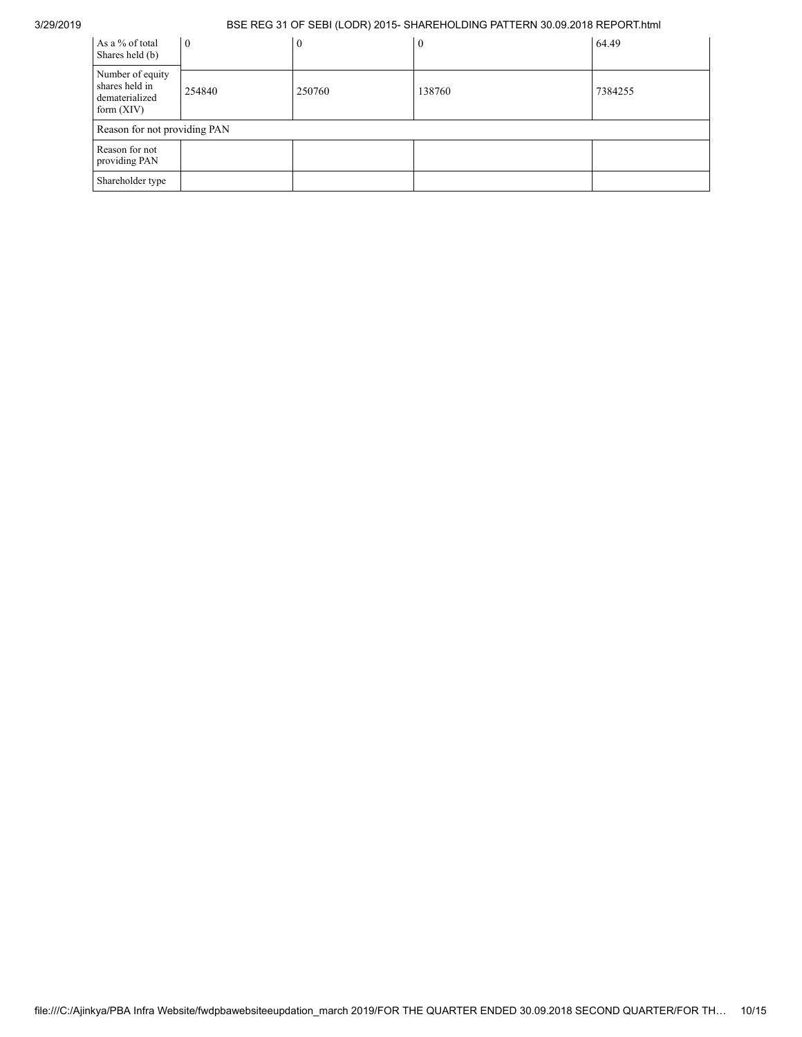| As a % of total<br>Shares held (b)                                   | $\overline{0}$ | $\theta$ | $\Omega$ | 64.49   |
|----------------------------------------------------------------------|----------------|----------|----------|---------|
| Number of equity<br>shares held in<br>dematerialized<br>form $(XIV)$ | 254840         | 250760   | 138760   | 7384255 |
| Reason for not providing PAN                                         |                |          |          |         |
| Reason for not<br>providing PAN                                      |                |          |          |         |
| Shareholder type                                                     |                |          |          |         |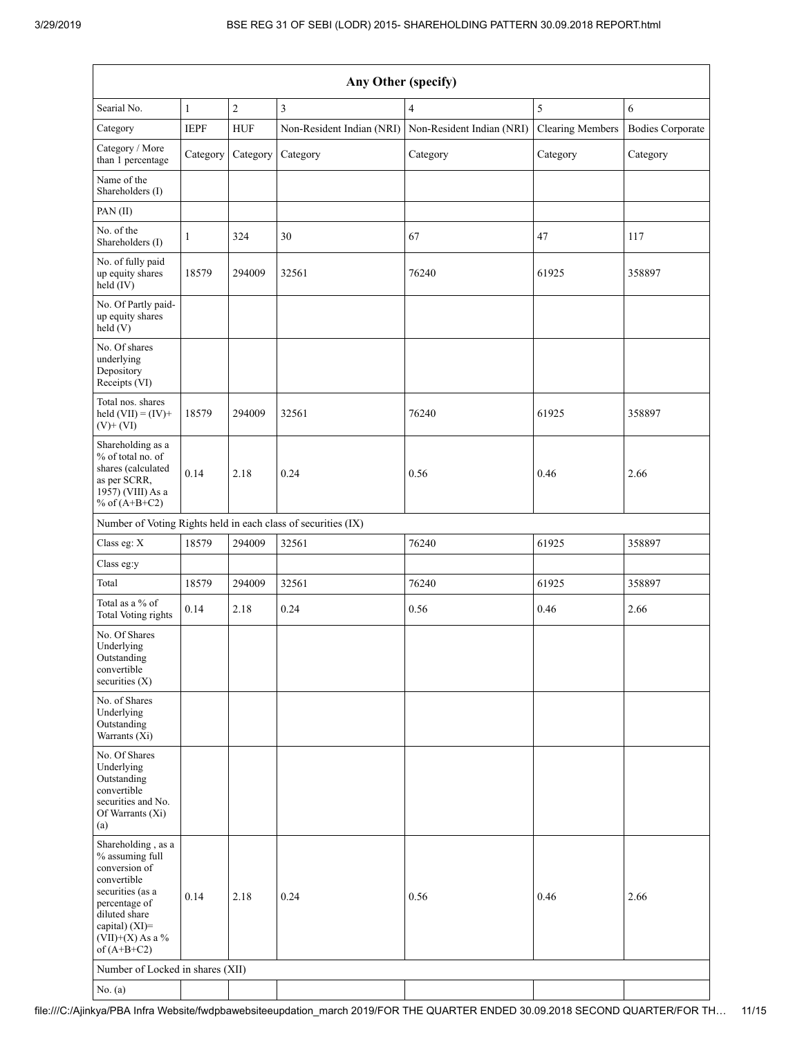| Any Other (specify)                                                                                                                                                                  |              |                |                                                               |                                                     |                         |                         |  |  |  |  |
|--------------------------------------------------------------------------------------------------------------------------------------------------------------------------------------|--------------|----------------|---------------------------------------------------------------|-----------------------------------------------------|-------------------------|-------------------------|--|--|--|--|
| Searial No.                                                                                                                                                                          | $\mathbf{1}$ | $\overline{c}$ | $\overline{3}$                                                | $\overline{4}$                                      | 5                       | 6                       |  |  |  |  |
| Category                                                                                                                                                                             | <b>IEPF</b>  | <b>HUF</b>     |                                                               | Non-Resident Indian (NRI) Non-Resident Indian (NRI) | <b>Clearing Members</b> | <b>Bodies Corporate</b> |  |  |  |  |
| Category / More<br>than 1 percentage                                                                                                                                                 | Category     | Category       | Category                                                      | Category                                            | Category                | Category                |  |  |  |  |
| Name of the<br>Shareholders (I)                                                                                                                                                      |              |                |                                                               |                                                     |                         |                         |  |  |  |  |
| PAN(II)                                                                                                                                                                              |              |                |                                                               |                                                     |                         |                         |  |  |  |  |
| No. of the<br>Shareholders (I)                                                                                                                                                       | 1            | 324            | 30                                                            | 67                                                  | 47                      | 117                     |  |  |  |  |
| No. of fully paid<br>up equity shares<br>held (IV)                                                                                                                                   | 18579        | 294009         | 32561                                                         | 76240                                               | 61925                   | 358897                  |  |  |  |  |
| No. Of Partly paid-<br>up equity shares<br>held(V)                                                                                                                                   |              |                |                                                               |                                                     |                         |                         |  |  |  |  |
| No. Of shares<br>underlying<br>Depository<br>Receipts (VI)                                                                                                                           |              |                |                                                               |                                                     |                         |                         |  |  |  |  |
| Total nos. shares<br>held $(VII) = (IV) +$<br>$(V)$ + $(VI)$                                                                                                                         | 18579        | 294009         | 32561                                                         | 76240                                               | 61925                   | 358897                  |  |  |  |  |
| Shareholding as a<br>% of total no. of<br>shares (calculated<br>as per SCRR,<br>1957) (VIII) As a<br>% of $(A+B+C2)$                                                                 | 0.14         | 2.18           | 0.24                                                          | 0.56                                                | 0.46                    | 2.66                    |  |  |  |  |
|                                                                                                                                                                                      |              |                | Number of Voting Rights held in each class of securities (IX) |                                                     |                         |                         |  |  |  |  |
| Class eg: X                                                                                                                                                                          | 18579        | 294009         | 32561                                                         | 76240                                               | 61925                   | 358897                  |  |  |  |  |
| Class eg:y                                                                                                                                                                           |              |                |                                                               |                                                     |                         |                         |  |  |  |  |
| Total                                                                                                                                                                                | 18579        | 294009         | 32561                                                         | 76240                                               | 61925                   | 358897                  |  |  |  |  |
| Total as a % of<br><b>Total Voting rights</b>                                                                                                                                        | 0.14         | 2.18           | 0.24                                                          | 0.56                                                | 0.46                    | 2.66                    |  |  |  |  |
| No. Of Shares<br>Underlying<br>Outstanding<br>convertible<br>securities $(X)$                                                                                                        |              |                |                                                               |                                                     |                         |                         |  |  |  |  |
| No. of Shares<br>Underlying<br>Outstanding<br>Warrants (Xi)                                                                                                                          |              |                |                                                               |                                                     |                         |                         |  |  |  |  |
| No. Of Shares<br>Underlying<br>Outstanding<br>convertible<br>securities and No.<br>Of Warrants (Xi)<br>(a)                                                                           |              |                |                                                               |                                                     |                         |                         |  |  |  |  |
| Shareholding, as a<br>% assuming full<br>conversion of<br>convertible<br>securities (as a<br>percentage of<br>diluted share<br>capital) (XI)=<br>$(VII)+(X)$ As a %<br>of $(A+B+C2)$ | 0.14         | 2.18           | 0.24                                                          | 0.56                                                | 0.46                    | 2.66                    |  |  |  |  |
| Number of Locked in shares (XII)                                                                                                                                                     |              |                |                                                               |                                                     |                         |                         |  |  |  |  |
| No. (a)                                                                                                                                                                              |              |                |                                                               |                                                     |                         |                         |  |  |  |  |

file:///C:/Ajinkya/PBA Infra Website/fwdpbawebsiteeupdation\_march 2019/FOR THE QUARTER ENDED 30.09.2018 SECOND QUARTER/FOR TH… 11/15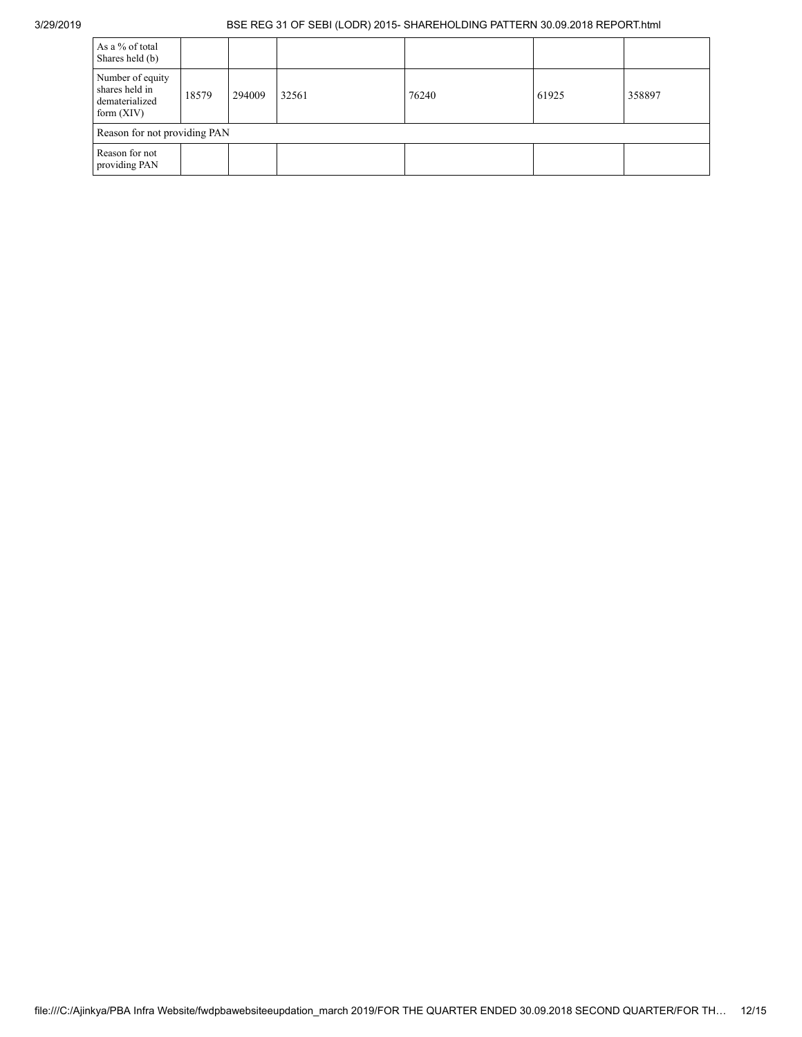| As a % of total<br>Shares held (b)                                   |       |        |       |       |       |        |  |  |  |
|----------------------------------------------------------------------|-------|--------|-------|-------|-------|--------|--|--|--|
| Number of equity<br>shares held in<br>dematerialized<br>form $(XIV)$ | 18579 | 294009 | 32561 | 76240 | 61925 | 358897 |  |  |  |
| Reason for not providing PAN                                         |       |        |       |       |       |        |  |  |  |
| Reason for not<br>providing PAN                                      |       |        |       |       |       |        |  |  |  |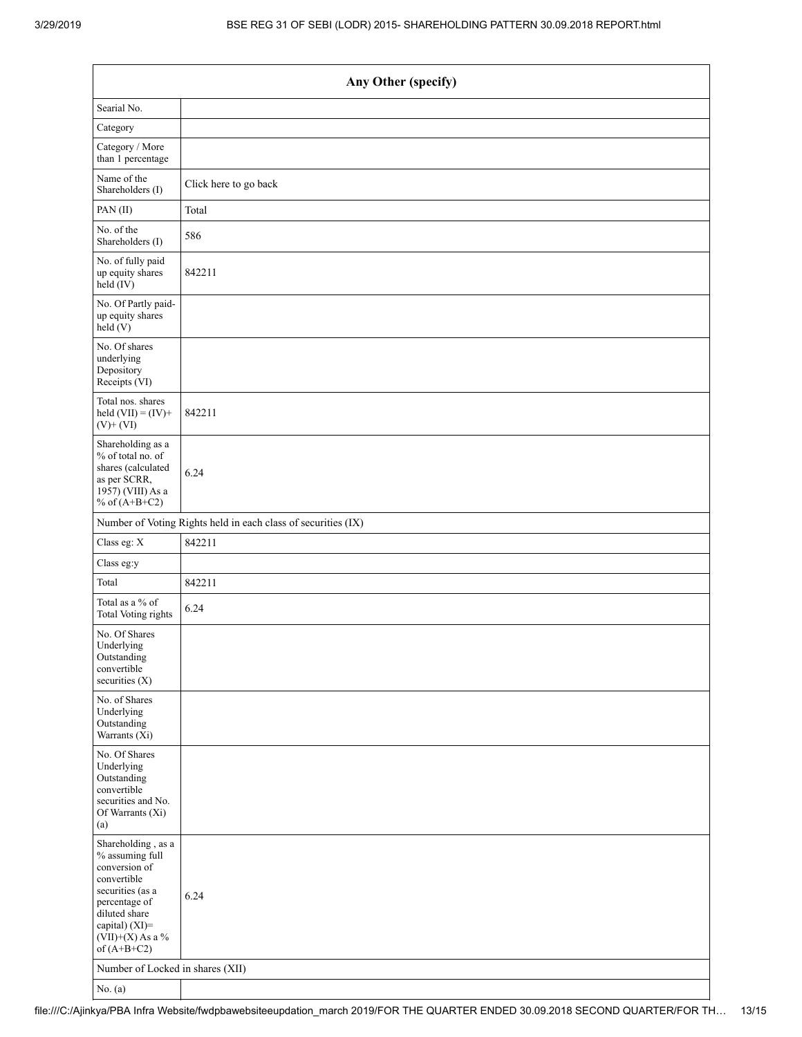| Any Other (specify)                                                                                                                                                                  |                       |
|--------------------------------------------------------------------------------------------------------------------------------------------------------------------------------------|-----------------------|
| Searial No.                                                                                                                                                                          |                       |
| Category                                                                                                                                                                             |                       |
| Category / More<br>than 1 percentage                                                                                                                                                 |                       |
| Name of the<br>Shareholders (I)                                                                                                                                                      | Click here to go back |
| PAN(II)                                                                                                                                                                              | Total                 |
| No. of the<br>Shareholders (I)                                                                                                                                                       | 586                   |
| No. of fully paid<br>up equity shares<br>$\text{held} (IV)$                                                                                                                          | 842211                |
| No. Of Partly paid-<br>up equity shares<br>held $(V)$                                                                                                                                |                       |
| No. Of shares<br>underlying<br>Depository<br>Receipts (VI)                                                                                                                           |                       |
| Total nos. shares<br>held $(VII) = (IV) +$<br>$(V)$ + $(VI)$                                                                                                                         | 842211                |
| Shareholding as a<br>% of total no. of<br>shares (calculated<br>as per SCRR,<br>1957) (VIII) As a<br>% of $(A+B+C2)$                                                                 | 6.24                  |
| Number of Voting Rights held in each class of securities (IX)                                                                                                                        |                       |
| Class eg: X                                                                                                                                                                          | 842211                |
| Class eg:y                                                                                                                                                                           |                       |
| Total                                                                                                                                                                                | 842211                |
| Total as a % of<br>Total Voting rights                                                                                                                                               | 6.24                  |
| No. Of Shares<br>Underlying<br>Outstanding<br>convertible<br>securities (X)                                                                                                          |                       |
| No. of Shares<br>Underlying<br>Outstanding<br>Warrants (Xi)                                                                                                                          |                       |
| No. Of Shares<br>Underlying<br>Outstanding<br>convertible<br>securities and No.<br>Of Warrants (Xi)<br>(a)                                                                           |                       |
| Shareholding, as a<br>% assuming full<br>conversion of<br>convertible<br>securities (as a<br>percentage of<br>diluted share<br>capital) (XI)=<br>$(VII)+(X)$ As a %<br>of $(A+B+C2)$ | 6.24                  |
| Number of Locked in shares (XII)                                                                                                                                                     |                       |
| No. $(a)$                                                                                                                                                                            |                       |